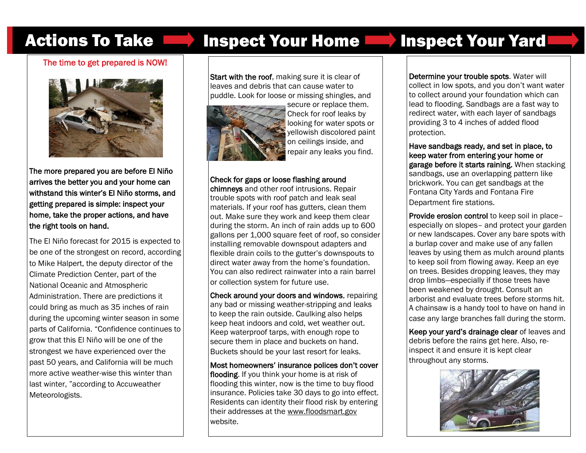## Actions To Take **Inspect Your Home Inspect Your Yard**

## The time to get prepared is NOW!



The more prepared you are before El Niño arrives the better you and your home can withstand this winter's El Niño storms, and getting prepared is simple: inspect your home, take the proper actions, and have the right tools on hand.

The El Niño forecast for 2015 is expected to be one of the strongest on record, according to Mike Halpert, the deputy director of the Climate Prediction Center, part of the National Oceanic and Atmospheric Administration. There are predictions it could bring as much as 35 inches of rain during the upcoming winter season in some parts of California. "Confidence continues to grow that this El Niño will be one of the strongest we have experienced over the past 50 years, and California will be much more active weather-wise this winter than last winter, "according to Accuweather Meteorologists.

**Start with the roof, making sure it is clear of** leaves and debris that can cause water to puddle. Look for loose or missing shingles, and



secure or replace them. Check for roof leaks by looking for water spots or yellowish discolored paint on ceilings inside, and repair any leaks you find.

### Check for gaps or loose flashing around

chimneys and other roof intrusions. Repair trouble spots with roof patch and leak seal materials. If your roof has gutters, clean them out. Make sure they work and keep them clear during the storm. An inch of rain adds up to 600 gallons per 1,000 square feet of roof, so consider installing removable downspout adapters and flexible drain coils to the gutter's downspouts to direct water away from the home's foundation. You can also redirect rainwater into a rain barrel or collection system for future use.

Check around your doors and windows, repairing any bad or missing weather-stripping and leaks to keep the rain outside. Caulking also helps keep heat indoors and cold, wet weather out. Keep waterproof tarps, with enough rope to secure them in place and buckets on hand. Buckets should be your last resort for leaks.

Most homeowners' insurance polices don't cover flooding. If you think your home is at risk of flooding this winter, now is the time to buy flood insurance. Policies take 30 days to go into effect. Residents can identity their flood risk by entering their addresses at the www.floodsmart.gov website.

Determine your trouble spots. Water will collect in low spots, and you don't want water to collect around your foundation which can lead to flooding. Sandbags are a fast way to redirect water, with each layer of sandbags providing 3 to 4 inches of added flood protection.

Have sandbags ready, and set in place, to keep water from entering your home or garage before it starts raining. When stacking sandbags, use an overlapping pattern like brickwork. You can get sandbags at the Fontana City Yards and Fontana Fire Department fire stations.

Provide erosion control to keep soil in place– especially on slopes– and protect your garden or new landscapes. Cover any bare spots with a burlap cover and make use of any fallen leaves by using them as mulch around plants to keep soil from flowing away. Keep an eye on trees. Besides dropping leaves, they may drop limbs—especially if those trees have been weakened by drought. Consult an arborist and evaluate trees before storms hit. A chainsaw is a handy tool to have on hand in case any large branches fall during the storm.

Keep your yard's drainage clear of leaves and debris before the rains get here. Also, reinspect it and ensure it is kept clear throughout any storms.